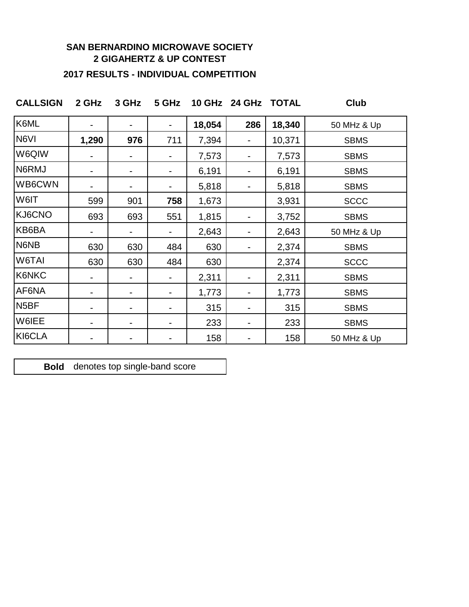#### **SAN BERNARDINO MICROWAVE SOCIETY 2 GIGAHERTZ & UP CONTEST**

#### **2017 RESULTS - INDIVIDUAL COMPETITION**

**CALLSIGN 2 GHz 3 GHz 5 GHz 10 GHz 24 GHz TOTAL Club**

| K6ML              |       |                |     | 18,054 | 286 | 18,340 | 50 MHz & Up |
|-------------------|-------|----------------|-----|--------|-----|--------|-------------|
| N6VI              | 1,290 | 976            | 711 | 7,394  | -   | 10,371 | <b>SBMS</b> |
| W6QIW             |       | $\blacksquare$ |     | 7,573  |     | 7,573  | <b>SBMS</b> |
| N6RMJ             | -     | $\blacksquare$ |     | 6,191  |     | 6,191  | <b>SBMS</b> |
| WB6CWN            |       |                |     | 5,818  |     | 5,818  | <b>SBMS</b> |
| W6IT              | 599   | 901            | 758 | 1,673  |     | 3,931  | <b>SCCC</b> |
| KJ6CNO            | 693   | 693            | 551 | 1,815  |     | 3,752  | <b>SBMS</b> |
| KB6BA             |       | ۰              |     | 2,643  |     | 2,643  | 50 MHz & Up |
| N6NB              | 630   | 630            | 484 | 630    |     | 2,374  | <b>SBMS</b> |
| W6TAI             | 630   | 630            | 484 | 630    |     | 2,374  | <b>SCCC</b> |
| K6NKC             |       |                |     | 2,311  |     | 2,311  | <b>SBMS</b> |
| AF6NA             |       | -              |     | 1,773  |     | 1,773  | <b>SBMS</b> |
| N <sub>5</sub> BF |       | -              |     | 315    |     | 315    | <b>SBMS</b> |
| W6IEE             |       | $\blacksquare$ |     | 233    |     | 233    | <b>SBMS</b> |
| KI6CLA            |       |                |     | 158    |     | 158    | 50 MHz & Up |

**Bold** denotes top single-band score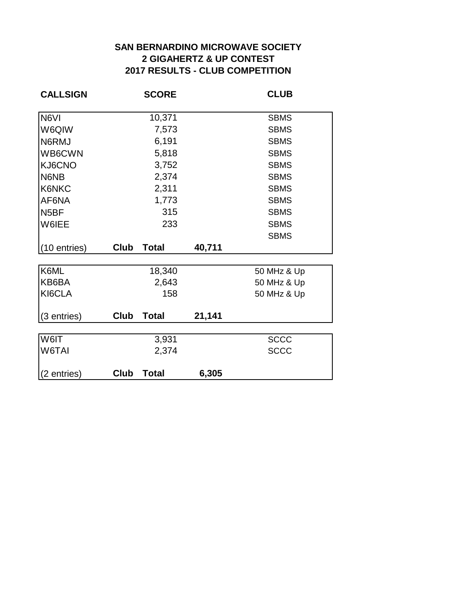### **2017 RESULTS - CLUB COMPETITION SAN BERNARDINO MICROWAVE SOCIETY 2 GIGAHERTZ & UP CONTEST**

| <b>CALLSIGN</b>   |      | <b>SCORE</b>    | <b>CLUB</b> |                            |  |
|-------------------|------|-----------------|-------------|----------------------------|--|
| N6VI              |      | 10,371          |             | <b>SBMS</b>                |  |
| W6QIW             |      | 7,573           |             | <b>SBMS</b>                |  |
| N6RMJ             |      | 6,191           |             | <b>SBMS</b>                |  |
| WB6CWN            |      | 5,818           |             | <b>SBMS</b>                |  |
| KJ6CNO            |      | 3,752           |             | <b>SBMS</b>                |  |
| N6NB              |      | 2,374           |             | <b>SBMS</b>                |  |
| K6NKC             |      | 2,311           |             | <b>SBMS</b>                |  |
| AF6NA             |      | 1,773           |             | <b>SBMS</b>                |  |
| N <sub>5</sub> BF |      | 315             |             | <b>SBMS</b>                |  |
| W6IEE             |      | 233             |             | <b>SBMS</b>                |  |
|                   |      |                 |             | <b>SBMS</b>                |  |
| (10 entries)      | Club | <b>Total</b>    | 40,711      |                            |  |
| K6ML              |      |                 |             |                            |  |
| KB6BA             |      | 18,340<br>2,643 |             | 50 MHz & Up                |  |
| KI6CLA            |      | 158             |             | 50 MHz & Up<br>50 MHz & Up |  |
|                   |      |                 |             |                            |  |
| (3 entries)       | Club | <b>Total</b>    | 21,141      |                            |  |
|                   |      |                 |             |                            |  |
| W6IT              |      | 3,931           |             | <b>SCCC</b>                |  |
| W6TAI             |      | 2,374           |             | <b>SCCC</b>                |  |
| (2 entries)       | Club | <b>Total</b>    | 6,305       |                            |  |